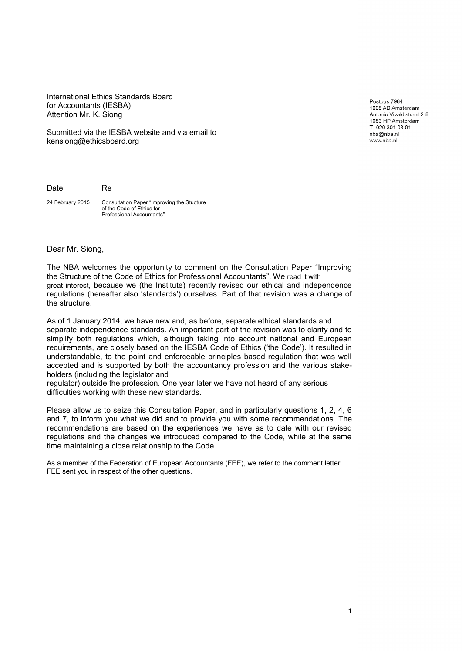International Ethics Standards Board for Accountants (IESBA) Attention Mr. K. Siong

Submitted via the IESBA website and via email to kensiong@ethicsboard.org

Postbus 7984 1008 AD Amsterdam Antonio Vivaldistraat 2-8 1083 HP Amsterdam T 020 301 03 01 nba@nba.nl www.nba.nl

Date Re

24 February 2015 Consultation Paper "Improving the Stucture of the Code of Ethics for Professional Accountants"

Dear Mr. Siong,

The NBA welcomes the opportunity to comment on the Consultation Paper "Improving the Structure of the Code of Ethics for Professional Accountants". We read it with great interest, because we (the Institute) recently revised our ethical and independence regulations (hereafter also 'standards') ourselves. Part of that revision was a change of the structure.

As of 1 January 2014, we have new and, as before, separate ethical standards and separate independence standards. An important part of the revision was to clarify and to simplify both regulations which, although taking into account national and European requirements, are closely based on the IESBA Code of Ethics ('the Code'). It resulted in understandable, to the point and enforceable principles based regulation that was well accepted and is supported by both the accountancy profession and the various stakeholders (including the legislator and

regulator) outside the profession. One year later we have not heard of any serious difficulties working with these new standards.

Please allow us to seize this Consultation Paper, and in particularly questions 1, 2, 4, 6 and 7, to inform you what we did and to provide you with some recommendations. The recommendations are based on the experiences we have as to date with our revised regulations and the changes we introduced compared to the Code, while at the same time maintaining a close relationship to the Code.

As a member of the Federation of European Accountants (FEE), we refer to the comment letter FEE sent you in respect of the other questions.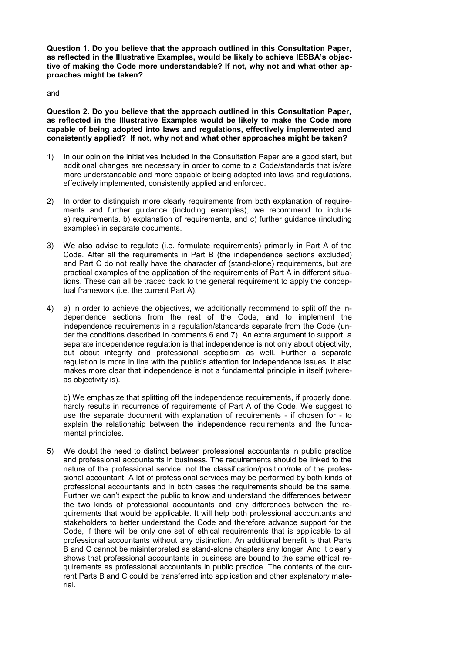**Question 1. Do you believe that the approach outlined in this Consultation Paper, as reflected in the Illustrative Examples, would be likely to achieve IESBA's objective of making the Code more understandable? If not, why not and what other approaches might be taken?**

## and

**Question 2. Do you believe that the approach outlined in this Consultation Paper, as reflected in the Illustrative Examples would be likely to make the Code more capable of being adopted into laws and regulations, effectively implemented and consistently applied? If not, why not and what other approaches might be taken?** 

- 1) In our opinion the initiatives included in the Consultation Paper are a good start, but additional changes are necessary in order to come to a Code/standards that is/are more understandable and more capable of being adopted into laws and regulations, effectively implemented, consistently applied and enforced.
- 2) In order to distinguish more clearly requirements from both explanation of requirements and further guidance (including examples), we recommend to include a) requirements, b) explanation of requirements, and c) further guidance (including examples) in separate documents.
- 3) We also advise to regulate (i.e. formulate requirements) primarily in Part A of the Code. After all the requirements in Part B (the independence sections excluded) and Part C do not really have the character of (stand-alone) requirements, but are practical examples of the application of the requirements of Part A in different situations. These can all be traced back to the general requirement to apply the conceptual framework (i.e. the current Part A).
- 4) a) In order to achieve the objectives, we additionally recommend to split off the independence sections from the rest of the Code, and to implement the independence requirements in a regulation/standards separate from the Code (under the conditions described in comments 6 and 7). An extra argument to support a separate independence regulation is that independence is not only about objectivity, but about integrity and professional scepticism as well. Further a separate regulation is more in line with the public's attention for independence issues. It also makes more clear that independence is not a fundamental principle in itself (whereas objectivity is).

b) We emphasize that splitting off the independence requirements, if properly done, hardly results in recurrence of requirements of Part A of the Code. We suggest to use the separate document with explanation of requirements - if chosen for - to explain the relationship between the independence requirements and the fundamental principles.

5) We doubt the need to distinct between professional accountants in public practice and professional accountants in business. The requirements should be linked to the nature of the professional service, not the classification/position/role of the professional accountant. A lot of professional services may be performed by both kinds of professional accountants and in both cases the requirements should be the same. Further we can't expect the public to know and understand the differences between the two kinds of professional accountants and any differences between the requirements that would be applicable. It will help both professional accountants and stakeholders to better understand the Code and therefore advance support for the Code, if there will be only one set of ethical requirements that is applicable to all professional accountants without any distinction. An additional benefit is that Parts B and C cannot be misinterpreted as stand-alone chapters any longer. And it clearly shows that professional accountants in business are bound to the same ethical requirements as professional accountants in public practice. The contents of the current Parts B and C could be transferred into application and other explanatory material.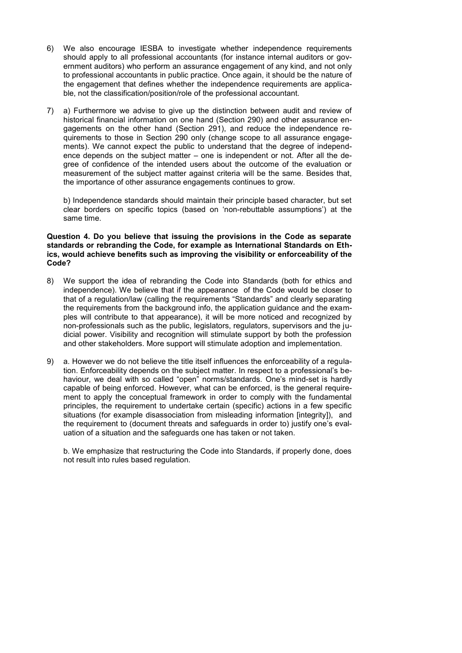- 6) We also encourage IESBA to investigate whether independence requirements should apply to all professional accountants (for instance internal auditors or government auditors) who perform an assurance engagement of any kind, and not only to professional accountants in public practice. Once again, it should be the nature of the engagement that defines whether the independence requirements are applicable, not the classification/position/role of the professional accountant.
- 7) a) Furthermore we advise to give up the distinction between audit and review of historical financial information on one hand (Section 290) and other assurance engagements on the other hand (Section 291), and reduce the independence requirements to those in Section 290 only (change scope to all assurance engagements). We cannot expect the public to understand that the degree of independence depends on the subject matter – one is independent or not. After all the degree of confidence of the intended users about the outcome of the evaluation or measurement of the subject matter against criteria will be the same. Besides that, the importance of other assurance engagements continues to grow.

b) Independence standards should maintain their principle based character, but set clear borders on specific topics (based on 'non-rebuttable assumptions') at the same time.

## **Question 4. Do you believe that issuing the provisions in the Code as separate standards or rebranding the Code, for example as International Standards on Ethics, would achieve benefits such as improving the visibility or enforceability of the Code?**

- 8) We support the idea of rebranding the Code into Standards (both for ethics and independence). We believe that if the appearance of the Code would be closer to that of a regulation/law (calling the requirements "Standards" and clearly separating the requirements from the background info, the application guidance and the examples will contribute to that appearance), it will be more noticed and recognized by non-professionals such as the public, legislators, regulators, supervisors and the judicial power. Visibility and recognition will stimulate support by both the profession and other stakeholders. More support will stimulate adoption and implementation.
- 9) a. However we do not believe the title itself influences the enforceability of a regulation. Enforceability depends on the subject matter. In respect to a professional's behaviour, we deal with so called "open" norms/standards. One's mind-set is hardly capable of being enforced. However, what can be enforced, is the general requirement to apply the conceptual framework in order to comply with the fundamental principles, the requirement to undertake certain (specific) actions in a few specific situations (for example disassociation from misleading information [integrity]), and the requirement to (document threats and safeguards in order to) justify one's evaluation of a situation and the safeguards one has taken or not taken.

b. We emphasize that restructuring the Code into Standards, if properly done, does not result into rules based regulation.